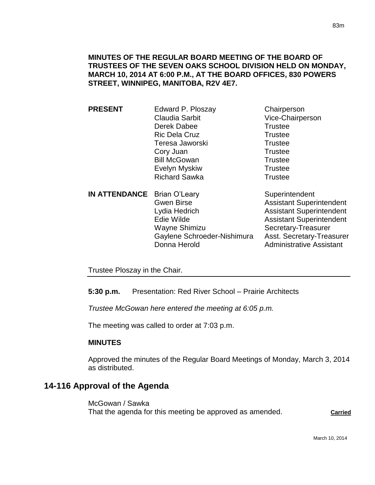## **MINUTES OF THE REGULAR BOARD MEETING OF THE BOARD OF TRUSTEES OF THE SEVEN OAKS SCHOOL DIVISION HELD ON MONDAY, MARCH 10, 2014 AT 6:00 P.M., AT THE BOARD OFFICES, 830 POWERS STREET, WINNIPEG, MANITOBA, R2V 4E7.**

**PRESENT** Edward P. Ploszay Chairperson Claudia Sarbit Vice-Chairperson Derek Dabee Trustee Ric Dela Cruz Trustee Teresa Jaworski **Trustee** Cory Juan Trustee Bill McGowan Trustee Evelyn Myskiw **Trustee** Richard Sawka Trustee **IN ATTENDANCE** Brian O'Leary Superintendent Gwen Birse **Assistant Superintendent** Lydia Hedrich **Assistant Superintendent** Edie Wilde **Assistant Superintendent** Wayne Shimizu Secretary-Treasurer Gaylene Schroeder-Nishimura Asst. Secretary-Treasurer

Donna Herold **Administrative Assistant** 

Trustee Ploszay in the Chair.

**5:30 p.m.** Presentation: Red River School – Prairie Architects

*Trustee McGowan here entered the meeting at 6:05 p.m.*

The meeting was called to order at 7:03 p.m.

## **MINUTES**

Approved the minutes of the Regular Board Meetings of Monday, March 3, 2014 as distributed.

## **14-116 Approval of the Agenda**

McGowan / Sawka That the agenda for this meeting be approved as amended. **Carried**

March 10, 2014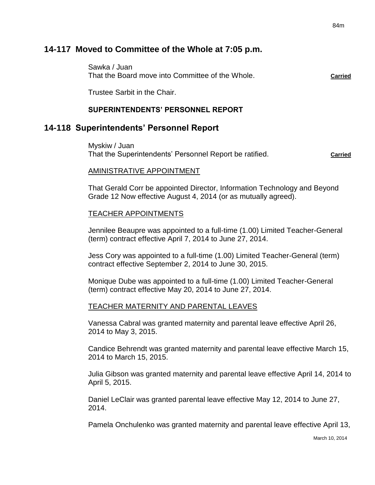## **14-117 Moved to Committee of the Whole at 7:05 p.m.**

Sawka / Juan That the Board move into Committee of the Whole. **Carried**

Trustee Sarbit in the Chair.

## **SUPERINTENDENTS' PERSONNEL REPORT**

## **14-118 Superintendents' Personnel Report**

Myskiw / Juan That the Superintendents' Personnel Report be ratified. **Carried** Carried

#### AMINISTRATIVE APPOINTMENT

That Gerald Corr be appointed Director, Information Technology and Beyond Grade 12 Now effective August 4, 2014 (or as mutually agreed).

#### TEACHER APPOINTMENTS

Jennilee Beaupre was appointed to a full-time (1.00) Limited Teacher-General (term) contract effective April 7, 2014 to June 27, 2014.

Jess Cory was appointed to a full-time (1.00) Limited Teacher-General (term) contract effective September 2, 2014 to June 30, 2015.

Monique Dube was appointed to a full-time (1.00) Limited Teacher-General (term) contract effective May 20, 2014 to June 27, 2014.

## TEACHER MATERNITY AND PARENTAL LEAVES

Vanessa Cabral was granted maternity and parental leave effective April 26, 2014 to May 3, 2015.

Candice Behrendt was granted maternity and parental leave effective March 15, 2014 to March 15, 2015.

Julia Gibson was granted maternity and parental leave effective April 14, 2014 to April 5, 2015.

Daniel LeClair was granted parental leave effective May 12, 2014 to June 27, 2014.

Pamela Onchulenko was granted maternity and parental leave effective April 13,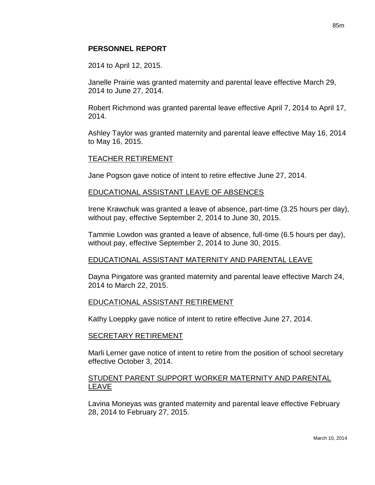## **PERSONNEL REPORT**

2014 to April 12, 2015.

Janelle Prairie was granted maternity and parental leave effective March 29, 2014 to June 27, 2014.

Robert Richmond was granted parental leave effective April 7, 2014 to April 17, 2014.

Ashley Taylor was granted maternity and parental leave effective May 16, 2014 to May 16, 2015.

## TEACHER RETIREMENT

Jane Pogson gave notice of intent to retire effective June 27, 2014.

## EDUCATIONAL ASSISTANT LEAVE OF ABSENCES

Irene Krawchuk was granted a leave of absence, part-time (3.25 hours per day), without pay, effective September 2, 2014 to June 30, 2015.

Tammie Lowdon was granted a leave of absence, full-time (6.5 hours per day), without pay, effective September 2, 2014 to June 30, 2015.

## EDUCATIONAL ASSISTANT MATERNITY AND PARENTAL LEAVE

Dayna Pingatore was granted maternity and parental leave effective March 24, 2014 to March 22, 2015.

## EDUCATIONAL ASSISTANT RETIREMENT

Kathy Loeppky gave notice of intent to retire effective June 27, 2014.

#### SECRETARY RETIREMENT

Marli Lerner gave notice of intent to retire from the position of school secretary effective October 3, 2014.

## STUDENT PARENT SUPPORT WORKER MATERNITY AND PARENTAL LEAVE

Lavina Moneyas was granted maternity and parental leave effective February 28, 2014 to February 27, 2015.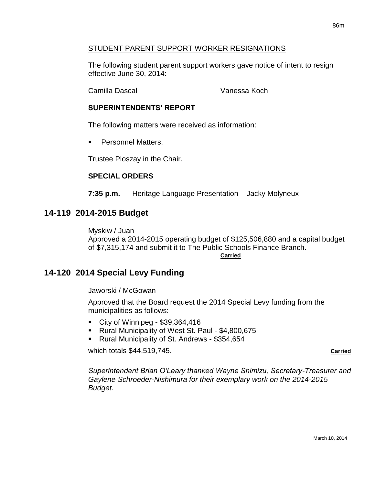## STUDENT PARENT SUPPORT WORKER RESIGNATIONS

The following student parent support workers gave notice of intent to resign effective June 30, 2014:

Camilla Dascal Vanessa Koch

## **SUPERINTENDENTS' REPORT**

The following matters were received as information:

Personnel Matters.

Trustee Ploszay in the Chair.

## **SPECIAL ORDERS**

**7:35 p.m.** Heritage Language Presentation – Jacky Molyneux

## **14-119 2014-2015 Budget**

Myskiw / Juan Approved a 2014-2015 operating budget of \$125,506,880 and a capital budget of \$7,315,174 and submit it to The Public Schools Finance Branch. **Carried**

## **14-120 2014 Special Levy Funding**

Jaworski / McGowan

Approved that the Board request the 2014 Special Levy funding from the municipalities as follows:

- City of Winnipeg \$39,364,416
- Rural Municipality of West St. Paul \$4,800,675
- Rural Municipality of St. Andrews \$354,654

which totals \$44,519,745. **Carried**

*Superintendent Brian O'Leary thanked Wayne Shimizu, Secretary-Treasurer and Gaylene Schroeder-Nishimura for their exemplary work on the 2014-2015 Budget.*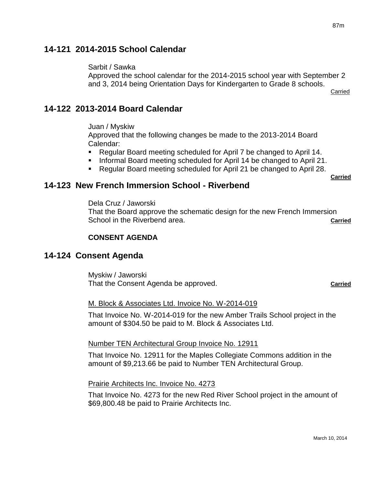# **14-121 2014-2015 School Calendar**

## Sarbit / Sawka

Approved the school calendar for the 2014-2015 school year with September 2 and 3, 2014 being Orientation Days for Kindergarten to Grade 8 schools. **Carried** 

# **14-122 2013-2014 Board Calendar**

Juan / Myskiw

Approved that the following changes be made to the 2013-2014 Board Calendar:

- Regular Board meeting scheduled for April 7 be changed to April 14.
- Informal Board meeting scheduled for April 14 be changed to April 21.
- Regular Board meeting scheduled for April 21 be changed to April 28.

**Carried**

# **14-123 New French Immersion School - Riverbend**

Dela Cruz / Jaworski

That the Board approve the schematic design for the new French Immersion School in the Riverbend area. **Carried Carried** 

## **CONSENT AGENDA**

# **14-124 Consent Agenda**

Myskiw / Jaworski That the Consent Agenda be approved. **Carried**

## M. Block & Associates Ltd. Invoice No. W-2014-019

That Invoice No. W-2014-019 for the new Amber Trails School project in the amount of \$304.50 be paid to M. Block & Associates Ltd.

## Number TEN Architectural Group Invoice No. 12911

That Invoice No. 12911 for the Maples Collegiate Commons addition in the amount of \$9,213.66 be paid to Number TEN Architectural Group.

Prairie Architects Inc. Invoice No. 4273

That Invoice No. 4273 for the new Red River School project in the amount of \$69,800.48 be paid to Prairie Architects Inc.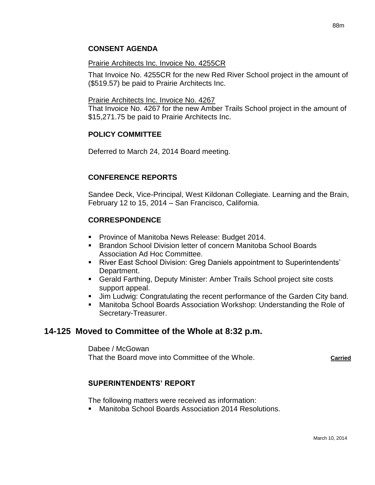## **CONSENT AGENDA**

#### Prairie Architects Inc. Invoice No. 4255CR

That Invoice No. 4255CR for the new Red River School project in the amount of (\$519.57) be paid to Prairie Architects Inc.

#### Prairie Architects Inc. Invoice No. 4267

That Invoice No. 4267 for the new Amber Trails School project in the amount of \$15,271.75 be paid to Prairie Architects Inc.

## **POLICY COMMITTEE**

Deferred to March 24, 2014 Board meeting.

## **CONFERENCE REPORTS**

Sandee Deck, Vice-Principal, West Kildonan Collegiate. Learning and the Brain, February 12 to 15, 2014 – San Francisco, California.

## **CORRESPONDENCE**

- **Province of Manitoba News Release: Budget 2014.**
- Brandon School Division letter of concern Manitoba School Boards Association Ad Hoc Committee.
- River East School Division: Greg Daniels appointment to Superintendents' Department.
- Gerald Farthing, Deputy Minister: Amber Trails School project site costs support appeal.
- Jim Ludwig: Congratulating the recent performance of the Garden City band.
- Manitoba School Boards Association Workshop: Understanding the Role of Secretary-Treasurer.

## **14-125 Moved to Committee of the Whole at 8:32 p.m.**

Dabee / McGowan That the Board move into Committee of the Whole. **Carried**

## **SUPERINTENDENTS' REPORT**

The following matters were received as information:

Manitoba School Boards Association 2014 Resolutions.